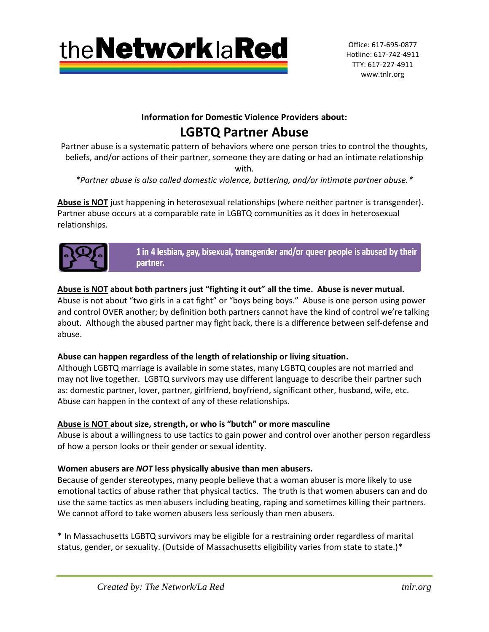

Office: 617-695-0877 Hotline: 617-742-4911 TTY: 617-227-4911 www.tnlr.org

## **Information for Domestic Violence Providers about:**

# **LGBTQ Partner Abuse**

Partner abuse is a systematic pattern of behaviors where one person tries to control the thoughts, beliefs, and/or actions of their partner, someone they are dating or had an intimate relationship

with.

*\*Partner abuse is also called domestic violence, battering, and/or intimate partner abuse.\**

**Abuse is NOT** just happening in heterosexual relationships (where neither partner is transgender). Partner abuse occurs at a comparable rate in LGBTQ communities as it does in heterosexual relationships.



1 in 4 lesbian, gay, bisexual, transgender and/or queer people is abused by their partner.

## **Abuse is NOT about both partners just "fighting it out" all the time. Abuse is never mutual.**

Abuse is not about "two girls in a cat fight" or "boys being boys." Abuse is one person using power and control OVER another; by definition both partners cannot have the kind of control we're talking about. Although the abused partner may fight back, there is a difference between self-defense and abuse.

## **Abuse can happen regardless of the length of relationship or living situation***.*

Although LGBTQ marriage is available in some states, many LGBTQ couples are not married and may not live together. LGBTQ survivors may use different language to describe their partner such as: domestic partner, lover, partner, girlfriend, boyfriend, significant other, husband, wife, etc. Abuse can happen in the context of any of these relationships.

## **Abuse is NOT about size, strength, or who is "butch" or more masculine**

Abuse is about a willingness to use tactics to gain power and control over another person regardless of how a person looks or their gender or sexual identity.

## **Women abusers are** *NOT* **less physically abusive than men abusers.**

Because of gender stereotypes, many people believe that a woman abuser is more likely to use emotional tactics of abuse rather that physical tactics. The truth is that women abusers can and do use the same tactics as men abusers including beating, raping and sometimes killing their partners. We cannot afford to take women abusers less seriously than men abusers.

\* In Massachusetts LGBTQ survivors may be eligible for a restraining order regardless of marital status, gender, or sexuality. (Outside of Massachusetts eligibility varies from state to state.)\*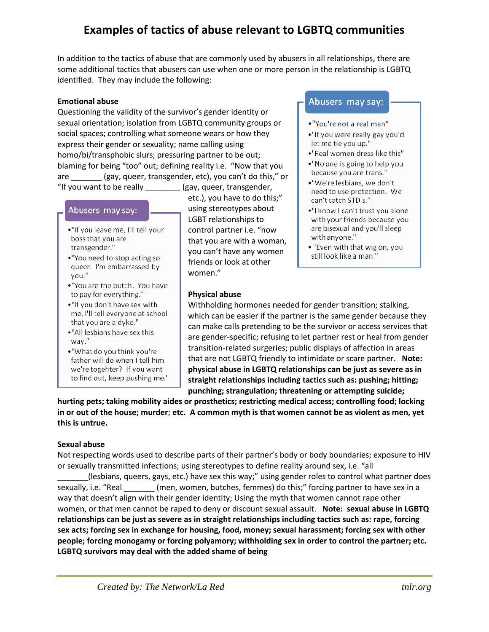## **Examples of tactics of abuse relevant to LGBTQ communities**

In addition to the tactics of abuse that are commonly used by abusers in all relationships, there are some additional tactics that abusers can use when one or more person in the relationship is LGBTQ identified. They may include the following:

#### **Emotional abuse**

Questioning the validity of the survivor's gender identity or sexual orientation; isolation from LGBTQ community groups or social spaces; controlling what someone wears or how they express their gender or sexuality; name calling using homo/bi/transphobic slurs; pressuring partner to be out; blaming for being "too" out; defining reality i.e. "Now that you are \_\_\_\_\_\_\_ (gay, queer, transgender, etc), you can't do this," or "If you want to be really \_\_\_\_\_\_\_\_ (gay, queer, transgender,

#### Abusers may say:

- ."If you leave me, I'll tell your boss that you are transgender."
- •"You need to stop acting so queer. I'm embarrassed by you."
- ."You are the butch. You have to pay for everything."
- . "If you don't have sex with me, I'll tell everyone at school that you are a dyke."
- •"All lesbians have sex this way."
- •"What do you think you're father will do when I tell him we're togehter? If you want to find out, keep pushing me."

etc.), you have to do this;" using stereotypes about LGBT relationships to control partner i.e. "now that you are with a woman, you can't have any women friends or look at other women."

#### **Physical abuse**

### Abusers may say:

- •"You're not a real man"
- ."If you were really gay you'd let me tie you up."
- •"Real women dress like this"
- •"No one is going to help you because you are trans."
- ."We're lesbians, we don't need to use protection. We can't catch STD's."
- ."I know I can't trust you alone with your friends because you are bisexual and you'll sleep with anyone."
- "Even with that wig on, you still look like a man."

Withholding hormones needed for gender transition; stalking, which can be easier if the partner is the same gender because they can make calls pretending to be the survivor or access services that are gender-specific; refusing to let partner rest or heal from gender transition-related surgeries; public displays of affection in areas that are not LGBTQ friendly to intimidate or scare partner. **Note: physical abuse in LGBTQ relationships can be just as severe as in straight relationships including tactics such as: pushing; hitting; punching; strangulation; threatening or attempting suicide;** 

**hurting pets; taking mobility aides or prosthetics; restricting medical access; controlling food; locking in or out of the house; murder**; **etc. A common myth is that women cannot be as violent as men, yet this is untrue.**

#### **Sexual abuse**

Not respecting words used to describe parts of their partner's body or body boundaries; exposure to HIV or sexually transmitted infections; using stereotypes to define reality around sex, i.e. "all

\_\_\_\_\_\_\_(lesbians, queers, gays, etc.) have sex this way;" using gender roles to control what partner does sexually, i.e. "Real \_\_\_\_\_\_\_\_ (men, women, butches, femmes) do this;" forcing partner to have sex in a way that doesn't align with their gender identity; Using the myth that women cannot rape other women, or that men cannot be raped to deny or discount sexual assault. **Note: sexual abuse in LGBTQ relationships can be just as severe as in straight relationships including tactics such as: rape, forcing sex acts; forcing sex in exchange for housing, food, money; sexual harassment; forcing sex with other people; forcing monogamy or forcing polyamory; withholding sex in order to control the partner; etc. LGBTQ survivors may deal with the added shame of being**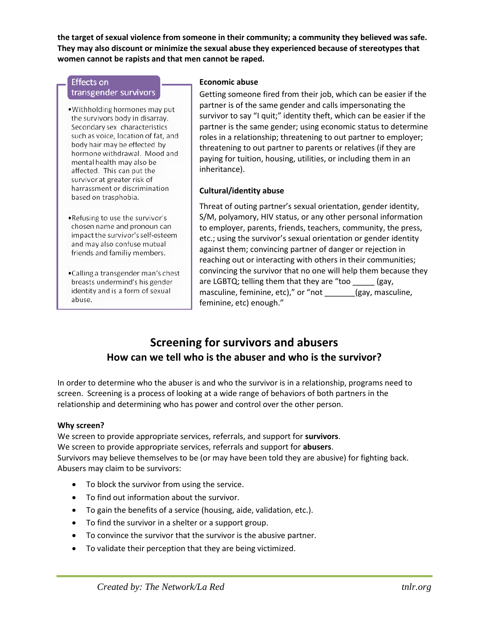**the target of sexual violence from someone in their community; a community they believed was safe. They may also discount or minimize the sexual abuse they experienced because of stereotypes that women cannot be rapists and that men cannot be raped.** 

#### **Effects on** transgender survivors

- Withholding hormones may put the survivors body in disarray. Secondary sex characteristics such as voice, location of fat, and body hair may be effected by hormone withdrawal. Mood and mental health may also be affected. This can put the survivor at greater risk of harrassment or discrimination based on trasphobia.
- •Refusing to use the survivor's chosen name and pronoun can impact the survivor's self-esteem and may also confuse mutual friends and familiy members.
- •Calling a transgender man's chest breasts undermind's his gender identity and is a form of sexual abuse.

### **Economic abuse**

Getting someone fired from their job, which can be easier if the partner is of the same gender and calls impersonating the survivor to say "I quit;" identity theft, which can be easier if the partner is the same gender; using economic status to determine roles in a relationship; threatening to out partner to employer; threatening to out partner to parents or relatives (if they are paying for tuition, housing, utilities, or including them in an inheritance).

### **Cultural/identity abuse**

Threat of outing partner's sexual orientation, gender identity, S/M, polyamory, HIV status, or any other personal information to employer, parents, friends, teachers, community, the press, etc.; using the survivor's sexual orientation or gender identity against them; convincing partner of danger or rejection in reaching out or interacting with others in their communities; convincing the survivor that no one will help them because they are LGBTQ; telling them that they are "too \_\_\_\_\_\_ (gay, masculine, feminine, etc)," or "not \_\_\_\_\_\_\_(gay, masculine, feminine, etc) enough."

## **Screening for survivors and abusers How can we tell who is the abuser and who is the survivor?**

In order to determine who the abuser is and who the survivor is in a relationship, programs need to screen. Screening is a process of looking at a wide range of behaviors of both partners in the relationship and determining who has power and control over the other person.

### **Why screen?**

We screen to provide appropriate services, referrals, and support for **survivors**. We screen to provide appropriate services, referrals and support for **abusers**. Survivors may believe themselves to be (or may have been told they are abusive) for fighting back. Abusers may claim to be survivors:

- To block the survivor from using the service.
- To find out information about the survivor.
- To gain the benefits of a service (housing, aide, validation, etc.).
- To find the survivor in a shelter or a support group.
- To convince the survivor that the survivor is the abusive partner.
- To validate their perception that they are being victimized.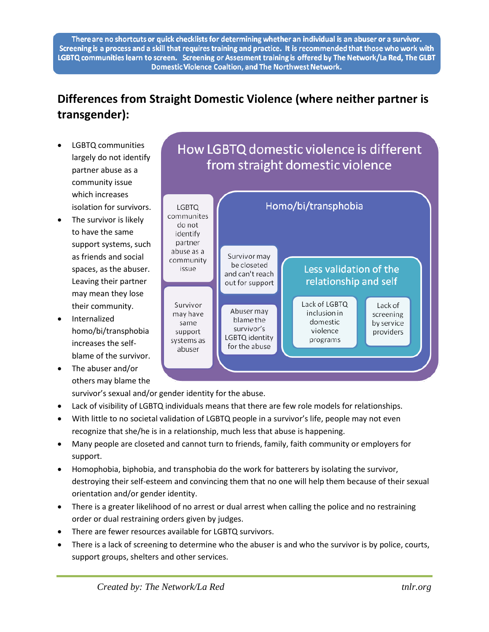There are no shortcuts or quick checklists for determining whether an individual is an abuser or a survivor. Screening is a process and a skill that requires training and practice. It is recommended that those who work with LGBTQ communities learn to screen. Screening or Assesment training is offered by The Network/La Red, The GLBT Domestic Violence Coaltion, and The Northwest Network.

# **Differences from Straight Domestic Violence (where neither partner is transgender):**

- LGBTQ communities largely do not identify partner abuse as a community issue which increases isolation for survivors.
- The survivor is likely to have the same support systems, such as friends and social spaces, as the abuser. Leaving their partner may mean they lose their community.
- Internalized homo/bi/transphobia increases the selfblame of the survivor.
- The abuser and/or others may blame the

# How LGBTQ domestic violence is different from straight domestic violence



survivor's sexual and/or gender identity for the abuse.

- Lack of visibility of LGBTQ individuals means that there are few role models for relationships.
- With little to no societal validation of LGBTQ people in a survivor's life, people may not even recognize that she/he is in a relationship, much less that abuse is happening.
- Many people are closeted and cannot turn to friends, family, faith community or employers for support.
- Homophobia, biphobia, and transphobia do the work for batterers by isolating the survivor, destroying their self-esteem and convincing them that no one will help them because of their sexual orientation and/or gender identity.
- There is a greater likelihood of no arrest or dual arrest when calling the police and no restraining order or dual restraining orders given by judges.
- There are fewer resources available for LGBTQ survivors.
- There is a lack of screening to determine who the abuser is and who the survivor is by police, courts, support groups, shelters and other services.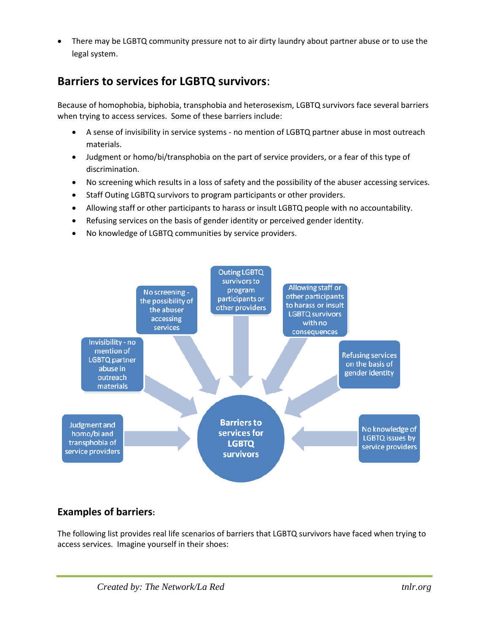There may be LGBTQ community pressure not to air dirty laundry about partner abuse or to use the legal system.

## **Barriers to services for LGBTQ survivors**:

Because of homophobia, biphobia, transphobia and heterosexism, LGBTQ survivors face several barriers when trying to access services. Some of these barriers include:

- A sense of invisibility in service systems no mention of LGBTQ partner abuse in most outreach materials.
- Judgment or homo/bi/transphobia on the part of service providers, or a fear of this type of discrimination.
- No screening which results in a loss of safety and the possibility of the abuser accessing services.
- Staff Outing LGBTQ survivors to program participants or other providers.
- Allowing staff or other participants to harass or insult LGBTQ people with no accountability.
- Refusing services on the basis of gender identity or perceived gender identity.
- No knowledge of LGBTQ communities by service providers.



## **Examples of barriers:**

The following list provides real life scenarios of barriers that LGBTQ survivors have faced when trying to access services. Imagine yourself in their shoes: